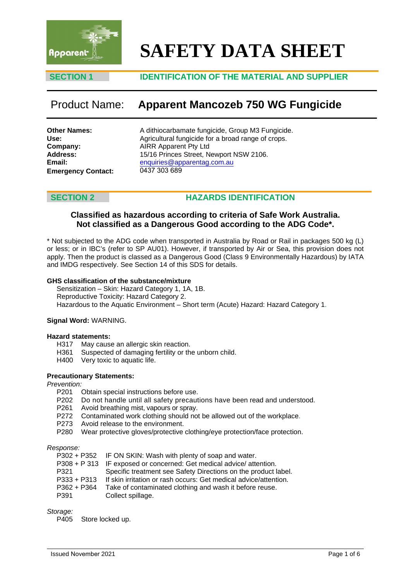

# **SAFETY DATA SHEET**

# **SECTION 1 IDENTIFICATION OF THE MATERIAL AND SUPPLIER**

# Product Name: **Apparent Mancozeb 750 WG Fungicide**

| <b>Other Names:</b>       |  |
|---------------------------|--|
| Use:                      |  |
| Company:                  |  |
| <b>Address:</b>           |  |
| Email:                    |  |
| <b>Emergency Contact:</b> |  |

A dithiocarbamate fungicide, Group M3 Fungicide. Agricultural fungicide for a broad range of crops. AIRR Apparent Pty Ltd 15/16 Princes Street, Newport NSW 2106. enquiries@apparentag.com.au [0437 303 689](mailto:enquiries@apparentag.com.au)

# **SECTION 2 HAZARDS IDENTIFICATION**

# **Classified as hazardous according to criteria of Safe Work Australia. Not classified as a Dangerous Good according to the ADG Code\*.**

\* Not subjected to the ADG code when transported in Australia by Road or Rail in packages 500 kg (L) or less; or in IBC's (refer to SP AU01). However, if transported by Air or Sea, this provision does not apply. Then the product is classed as a Dangerous Good (Class 9 Environmentally Hazardous) by IATA and IMDG respectively. See Section 14 of this SDS for details.

### **GHS classification of the substance/mixture**

Sensitization – Skin: Hazard Category 1, 1A, 1B. Reproductive Toxicity: Hazard Category 2. Hazardous to the Aquatic Environment – Short term (Acute) Hazard: Hazard Category 1.

### **Signal Word:** WARNING.

### **Hazard statements:**

- H317 May cause an allergic skin reaction.
- H361 Suspected of damaging fertility or the unborn child.<br>H400 Very toxic to aquatic life.
- Very toxic to aquatic life.

### **Precautionary Statements:**

*Prevention:*

- Obtain special instructions before use.
- P202 Do not handle until all safety precautions have been read and understood.<br>P261 Avoid breathing mist, vapours or sprav.
- Avoid breathing mist, vapours or spray.
- P272 Contaminated work clothing should not be allowed out of the workplace.
- P273 Avoid release to the environment.
- P280 Wear protective gloves/protective clothing/eye protection/face protection.

### *Response:*

|  | P302 + P352 IF ON SKIN: Wash with plenty of soap and water. |
|--|-------------------------------------------------------------|
|--|-------------------------------------------------------------|

- P308 + P 313 IF exposed or concerned: Get medical advice/ attention.
- 
- P321 Specific treatment see Safety Directions on the product label.<br>P333 + P313 If skin irritation or rash occurs: Get medical advice/attention. P333 + P313 If skin irritation or rash occurs: Get medical advice/attention.<br>P362 + P364 Take of contaminated clothing and wash it before reuse.
- P362 + P364 Take of contaminated clothing and wash it before reuse.<br>P391 Collect spillage.
- Collect spillage.

### *Storage:*

P405 Store locked up.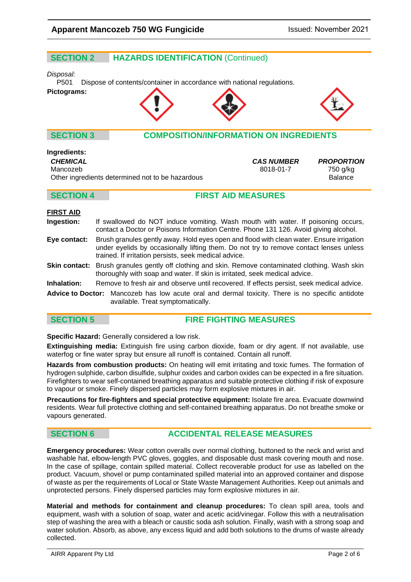# **SECTION 2 HAZARDS IDENTIFICATION** (Continued)

# *Disposal:*

Dispose of contents/container in accordance with national regulations.

### **Pictograms:**





# **SECTION 3 COMPOSITION/INFORMATION ON INGREDIENTS**

### **Ingredients:**

*CHEMICAL CAS NUMBER PROPORTION*

Mancozeb 8018-01-7 750 g/kg Other ingredients determined not to be hazardous Balance

# **SECTION 4 FIRST AID MEASURES**

### **FIRST AID**

- **Ingestion:** If swallowed do NOT induce vomiting. Wash mouth with water. If poisoning occurs, contact a Doctor or Poisons Information Centre. Phone 131 126. Avoid giving alcohol.
- **Eye contact:** Brush granules gently away. Hold eyes open and flood with clean water. Ensure irrigation under eyelids by occasionally lifting them. Do not try to remove contact lenses unless trained. If irritation persists, seek medical advice.

**Skin contact:** Brush granules gently off clothing and skin. Remove contaminated clothing. Wash skin thoroughly with soap and water. If skin is irritated, seek medical advice.

**Inhalation:** Remove to fresh air and observe until recovered. If effects persist, seek medical advice.

**Advice to Doctor:** Mancozeb has low acute oral and dermal toxicity. There is no specific antidote available. Treat symptomatically.

# **SECTION 5 FIRE FIGHTING MEASURES**

**Specific Hazard:** Generally considered a low risk.

**Extinguishing media:** Extinguish fire using carbon dioxide, foam or dry agent. If not available, use waterfog or fine water spray but ensure all runoff is contained. Contain all runoff.

**Hazards from combustion products:** On heating will emit irritating and toxic fumes. The formation of hydrogen sulphide, carbon disulfide, sulphur oxides and carbon oxides can be expected in a fire situation. Firefighters to wear self-contained breathing apparatus and suitable protective clothing if risk of exposure to vapour or smoke. Finely dispersed particles may form explosive mixtures in air.

**Precautions for fire-fighters and special protective equipment:** Isolate fire area. Evacuate downwind residents. Wear full protective clothing and self-contained breathing apparatus. Do not breathe smoke or vapours generated.

# **SECTION 6 ACCIDENTAL RELEASE MEASURES**

**Emergency procedures:** Wear cotton overalls over normal clothing, buttoned to the neck and wrist and washable hat, elbow-length PVC gloves, goggles, and disposable dust mask covering mouth and nose. In the case of spillage, contain spilled material. Collect recoverable product for use as labelled on the product. Vacuum, shovel or pump contaminated spilled material into an approved container and dispose of waste as per the requirements of Local or State Waste Management Authorities. Keep out animals and unprotected persons. Finely dispersed particles may form explosive mixtures in air.

**Material and methods for containment and cleanup procedures:** To clean spill area, tools and equipment, wash with a solution of soap, water and acetic acid/vinegar. Follow this with a neutralisation step of washing the area with a bleach or caustic soda ash solution. Finally, wash with a strong soap and water solution. Absorb, as above, any excess liquid and add both solutions to the drums of waste already collected.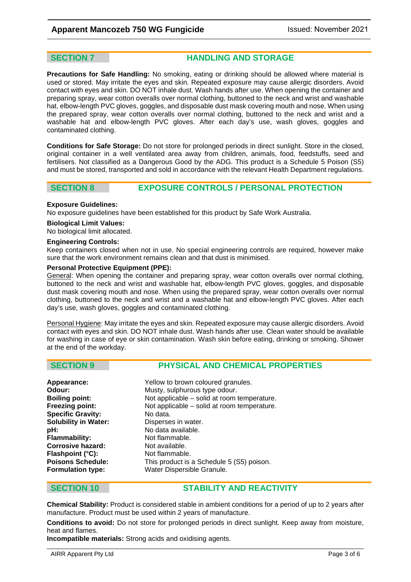**SECTION 7 HANDLING AND STORAGE** 

**Precautions for Safe Handling:** No smoking, eating or drinking should be allowed where material is used or stored. May irritate the eyes and skin. Repeated exposure may cause allergic disorders. Avoid contact with eyes and skin. DO NOT inhale dust. Wash hands after use. When opening the container and preparing spray, wear cotton overalls over normal clothing, buttoned to the neck and wrist and washable hat, elbow-length PVC gloves, goggles, and disposable dust mask covering mouth and nose. When using the prepared spray, wear cotton overalls over normal clothing, buttoned to the neck and wrist and a washable hat and elbow-length PVC gloves. After each day's use, wash gloves, goggles and contaminated clothing.

**Conditions for Safe Storage:** Do not store for prolonged periods in direct sunlight. Store in the closed, original container in a well ventilated area away from children, animals, food, feedstuffs, seed and fertilisers. Not classified as a Dangerous Good by the ADG. This product is a Schedule 5 Poison (S5) and must be stored, transported and sold in accordance with the relevant Health Department regulations.

# **SECTION 8 EXPOSURE CONTROLS / PERSONAL PROTECTION**

### **Exposure Guidelines:**

No exposure guidelines have been established for this product by Safe Work Australia.

### **Biological Limit Values:**

No biological limit allocated.

### **Engineering Controls:**

Keep containers closed when not in use. No special engineering controls are required, however make sure that the work environment remains clean and that dust is minimised.

### **Personal Protective Equipment (PPE):**

General: When opening the container and preparing spray, wear cotton overalls over normal clothing, buttoned to the neck and wrist and washable hat, elbow-length PVC gloves, goggles, and disposable dust mask covering mouth and nose. When using the prepared spray, wear cotton overalls over normal clothing, buttoned to the neck and wrist and a washable hat and elbow-length PVC gloves. After each day's use, wash gloves, goggles and contaminated clothing.

Personal Hygiene: May irritate the eyes and skin. Repeated exposure may cause allergic disorders. Avoid contact with eyes and skin. DO NOT inhale dust. Wash hands after use. Clean water should be available for washing in case of eye or skin contamination. Wash skin before eating, drinking or smoking. Shower at the end of the workday.

# **SECTION 9 PHYSICAL AND CHEMICAL PROPERTIES**

| Appearance:                 | Yellow to brown coloured granules.          |
|-----------------------------|---------------------------------------------|
| Odour:                      | Musty, sulphurous type odour.               |
| <b>Boiling point:</b>       | Not applicable – solid at room temperature. |
| Freezing point:             | Not applicable – solid at room temperature. |
| <b>Specific Gravity:</b>    | No data.                                    |
| <b>Solubility in Water:</b> | Disperses in water.                         |
| pH:                         | No data available.                          |
| Flammability:               | Not flammable.                              |
| <b>Corrosive hazard:</b>    | Not available.                              |
| Flashpoint (°C):            | Not flammable.                              |
| <b>Poisons Schedule:</b>    | This product is a Schedule 5 (S5) poison.   |
| <b>Formulation type:</b>    | Water Dispersible Granule.                  |

# **SECTION 10 STABILITY AND REACTIVITY**

**Chemical Stability:** Product is considered stable in ambient conditions for a period of up to 2 years after manufacture. Product must be used within 2 years of manufacture.

**Conditions to avoid:** Do not store for prolonged periods in direct sunlight. Keep away from moisture, heat and flames.

**Incompatible materials:** Strong acids and oxidising agents.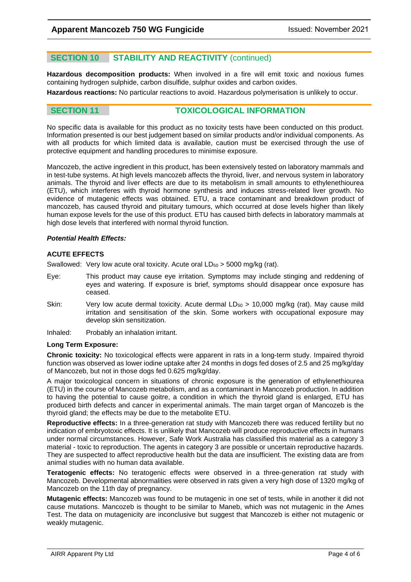# **SECTION 10 STABILITY AND REACTIVITY** (continued)

**Hazardous decomposition products:** When involved in a fire will emit toxic and noxious fumes containing hydrogen sulphide, carbon disulfide, sulphur oxides and carbon oxides.

**Hazardous reactions:** No particular reactions to avoid. Hazardous polymerisation is unlikely to occur.

**SECTION 11 TOXICOLOGICAL INFORMATION**

No specific data is available for this product as no toxicity tests have been conducted on this product. Information presented is our best judgement based on similar products and/or individual components. As with all products for which limited data is available, caution must be exercised through the use of protective equipment and handling procedures to minimise exposure.

Mancozeb, the active ingredient in this product, has been extensively tested on laboratory mammals and in test-tube systems. At high levels mancozeb affects the thyroid, liver, and nervous system in laboratory animals. The thyroid and liver effects are due to its metabolism in small amounts to ethylenethiourea (ETU), which interferes with thyroid hormone synthesis and induces stress-related liver growth. No evidence of mutagenic effects was obtained. ETU, a trace contaminant and breakdown product of mancozeb, has caused thyroid and pituitary tumours, which occurred at dose levels higher than likely human expose levels for the use of this product. ETU has caused birth defects in laboratory mammals at high dose levels that interfered with normal thyroid function.

### *Potential Health Effects:*

### **ACUTE EFFECTS**

Swallowed: Very low acute oral toxicity. Acute oral  $LD_{50} > 5000$  mg/kg (rat).

- Eye: This product may cause eye irritation. Symptoms may include stinging and reddening of eyes and watering. If exposure is brief, symptoms should disappear once exposure has ceased.
- Skin: Very low acute dermal toxicity. Acute dermal  $LD_{50} > 10,000$  mg/kg (rat). May cause mild irritation and sensitisation of the skin. Some workers with occupational exposure may develop skin sensitization.
- Inhaled: Probably an inhalation irritant.

### **Long Term Exposure:**

**Chronic toxicity:** No toxicological effects were apparent in rats in a long-term study. Impaired thyroid function was observed as lower iodine uptake after 24 months in dogs fed doses of 2.5 and 25 mg/kg/day of Mancozeb, but not in those dogs fed 0.625 mg/kg/day.

A major toxicological concern in situations of chronic exposure is the generation of ethylenethiourea (ETU) in the course of Mancozeb metabolism, and as a contaminant in Mancozeb production. In addition to having the potential to cause goitre, a condition in which the thyroid gland is enlarged, ETU has produced birth defects and cancer in experimental animals. The main target organ of Mancozeb is the thyroid gland; the effects may be due to the metabolite ETU.

**Reproductive effects:** In a three-generation rat study with Mancozeb there was reduced fertility but no indication of embryotoxic effects. It is unlikely that Mancozeb will produce reproductive effects in humans under normal circumstances. However, Safe Work Australia has classified this material as a category 3 material - toxic to reproduction. The agents in category 3 are possible or uncertain reproductive hazards. They are suspected to affect reproductive health but the data are insufficient. The existing data are from animal studies with no human data available.

**Teratogenic effects:** No teratogenic effects were observed in a three-generation rat study with Mancozeb. Developmental abnormalities were observed in rats given a very high dose of 1320 mg/kg of Mancozeb on the 11th day of pregnancy.

**Mutagenic effects:** Mancozeb was found to be mutagenic in one set of tests, while in another it did not cause mutations. Mancozeb is thought to be similar to Maneb, which was not mutagenic in the Ames Test. The data on mutagenicity are inconclusive but suggest that Mancozeb is either not mutagenic or weakly mutagenic.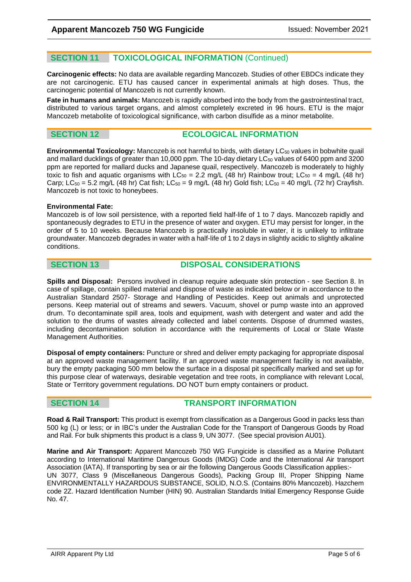# **SECTION 11 TOXICOLOGICAL INFORMATION** (Continued)

**Carcinogenic effects:** No data are available regarding Mancozeb. Studies of other EBDCs indicate they are not carcinogenic. ETU has caused cancer in experimental animals at high doses. Thus, the carcinogenic potential of Mancozeb is not currently known.

**Fate in humans and animals:** Mancozeb is rapidly absorbed into the body from the gastrointestinal tract, distributed to various target organs, and almost completely excreted in 96 hours. ETU is the major Mancozeb metabolite of toxicological significance, with carbon disulfide as a minor metabolite.

# **SECTION 12 ECOLOGICAL INFORMATION**

**Environmental Toxicology:** Mancozeb is not harmful to birds, with dietary LC<sub>50</sub> values in bobwhite quail and mallard ducklings of greater than 10,000 ppm. The 10-day dietary LC<sub>50</sub> values of 6400 ppm and 3200 ppm are reported for mallard ducks and Japanese quail, respectively. Mancozeb is moderately to highly toxic to fish and aquatic organisms with  $LC_{50} = 2.2$  mg/L (48 hr) Rainbow trout;  $LC_{50} = 4$  mg/L (48 hr) Carp; LC<sub>50</sub> = 5.2 mg/L (48 hr) Cat fish; LC<sub>50</sub> = 9 mg/L (48 hr) Gold fish; LC<sub>50</sub> = 40 mg/L (72 hr) Crayfish. Mancozeb is not toxic to honeybees.

### **Environmental Fate:**

Mancozeb is of low soil persistence, with a reported field half-life of 1 to 7 days. Mancozeb rapidly and spontaneously degrades to ETU in the presence of water and oxygen. ETU may persist for longer, in the order of 5 to 10 weeks. Because Mancozeb is practically insoluble in water, it is unlikely to infiltrate groundwater. Mancozeb degrades in water with a half-life of 1 to 2 days in slightly acidic to slightly alkaline conditions.

# **SECTION 13 DISPOSAL CONSIDERATIONS**

**Spills and Disposal:** Persons involved in cleanup require adequate skin protection - see Section 8. In case of spillage, contain spilled material and dispose of waste as indicated below or in accordance to the Australian Standard 2507- Storage and Handling of Pesticides. Keep out animals and unprotected persons. Keep material out of streams and sewers. Vacuum, shovel or pump waste into an approved drum. To decontaminate spill area, tools and equipment, wash with detergent and water and add the solution to the drums of wastes already collected and label contents. Dispose of drummed wastes, including decontamination solution in accordance with the requirements of Local or State Waste Management Authorities.

**Disposal of empty containers:** Puncture or shred and deliver empty packaging for appropriate disposal at an approved waste management facility. If an approved waste management facility is not available, bury the empty packaging 500 mm below the surface in a disposal pit specifically marked and set up for this purpose clear of waterways, desirable vegetation and tree roots, in compliance with relevant Local, State or Territory government regulations. DO NOT burn empty containers or product.

# **SECTION 14 TRANSPORT INFORMATION**

**Road & Rail Transport:** This product is exempt from classification as a Dangerous Good in packs less than 500 kg (L) or less; or in IBC's under the Australian Code for the Transport of Dangerous Goods by Road and Rail. For bulk shipments this product is a class 9, UN 3077. (See special provision AU01).

**Marine and Air Transport:** Apparent Mancozeb 750 WG Fungicide is classified as a Marine Pollutant according to International Maritime Dangerous Goods (IMDG) Code and the International Air transport Association (IATA). If transporting by sea or air the following Dangerous Goods Classification applies:- UN 3077, Class 9 (Miscellaneous Dangerous Goods), Packing Group III, Proper Shipping Name ENVIRONMENTALLY HAZARDOUS SUBSTANCE, SOLID, N.O.S. (Contains 80% Mancozeb). Hazchem code 2Z. Hazard Identification Number (HIN) 90. Australian Standards Initial Emergency Response Guide No. 47.